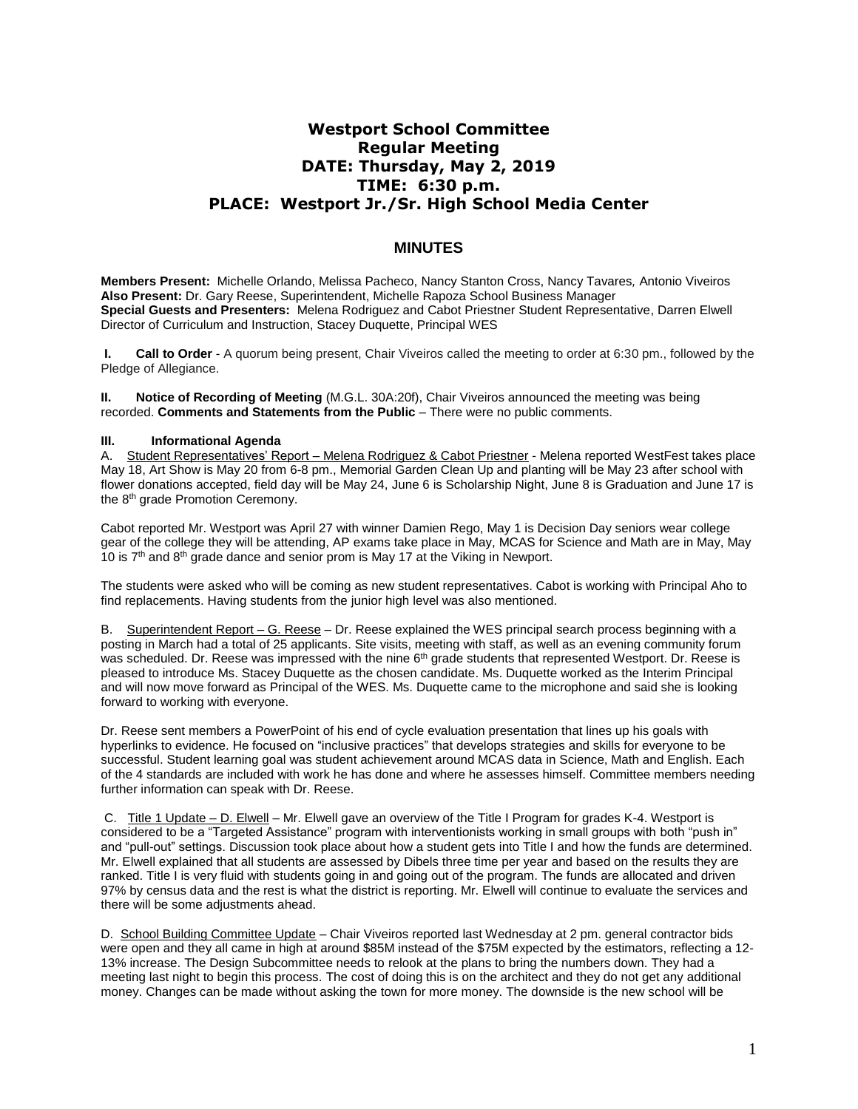## **Westport School Committee Regular Meeting DATE: Thursday, May 2, 2019 TIME: 6:30 p.m. PLACE: Westport Jr./Sr. High School Media Center**

## **MINUTES**

**Members Present:** Michelle Orlando, Melissa Pacheco, Nancy Stanton Cross, Nancy Tavares*,* Antonio Viveiros **Also Present:** Dr. Gary Reese, Superintendent, Michelle Rapoza School Business Manager **Special Guests and Presenters:** Melena Rodriguez and Cabot Priestner Student Representative, Darren Elwell Director of Curriculum and Instruction, Stacey Duquette, Principal WES

**I. Call to Order** - A quorum being present, Chair Viveiros called the meeting to order at 6:30 pm., followed by the Pledge of Allegiance.

**II.** Notice of Recording of Meeting *(M.G.L. 30A:20f)*, Chair Viveiros announced the meeting was being recorded. **Comments and Statements from the Public** – There were no public comments.

## **III. Informational Agenda**

A. Student Representatives' Report - Melena Rodriguez & Cabot Priestner - Melena reported WestFest takes place May 18, Art Show is May 20 from 6-8 pm., Memorial Garden Clean Up and planting will be May 23 after school with flower donations accepted, field day will be May 24, June 6 is Scholarship Night, June 8 is Graduation and June 17 is the 8<sup>th</sup> grade Promotion Ceremony.

Cabot reported Mr. Westport was April 27 with winner Damien Rego, May 1 is Decision Day seniors wear college gear of the college they will be attending, AP exams take place in May, MCAS for Science and Math are in May, May 10 is  $7<sup>th</sup>$  and  $8<sup>th</sup>$  grade dance and senior prom is May 17 at the Viking in Newport.

The students were asked who will be coming as new student representatives. Cabot is working with Principal Aho to find replacements. Having students from the junior high level was also mentioned.

B. Superintendent Report – G. Reese – Dr. Reese explained the WES principal search process beginning with a posting in March had a total of 25 applicants. Site visits, meeting with staff, as well as an evening community forum was scheduled. Dr. Reese was impressed with the nine 6<sup>th</sup> grade students that represented Westport. Dr. Reese is pleased to introduce Ms. Stacey Duquette as the chosen candidate. Ms. Duquette worked as the Interim Principal and will now move forward as Principal of the WES. Ms. Duquette came to the microphone and said she is looking forward to working with everyone.

Dr. Reese sent members a PowerPoint of his end of cycle evaluation presentation that lines up his goals with hyperlinks to evidence. He focused on "inclusive practices" that develops strategies and skills for everyone to be successful. Student learning goal was student achievement around MCAS data in Science, Math and English. Each of the 4 standards are included with work he has done and where he assesses himself. Committee members needing further information can speak with Dr. Reese.

C. Title 1 Update – D. Elwell – Mr. Elwell gave an overview of the Title I Program for grades K-4. Westport is considered to be a "Targeted Assistance" program with interventionists working in small groups with both "push in" and "pull-out" settings. Discussion took place about how a student gets into Title I and how the funds are determined. Mr. Elwell explained that all students are assessed by Dibels three time per year and based on the results they are ranked. Title I is very fluid with students going in and going out of the program. The funds are allocated and driven 97% by census data and the rest is what the district is reporting. Mr. Elwell will continue to evaluate the services and there will be some adjustments ahead.

D. School Building Committee Update – Chair Viveiros reported last Wednesday at 2 pm. general contractor bids were open and they all came in high at around \$85M instead of the \$75M expected by the estimators, reflecting a 12- 13% increase. The Design Subcommittee needs to relook at the plans to bring the numbers down. They had a meeting last night to begin this process. The cost of doing this is on the architect and they do not get any additional money. Changes can be made without asking the town for more money. The downside is the new school will be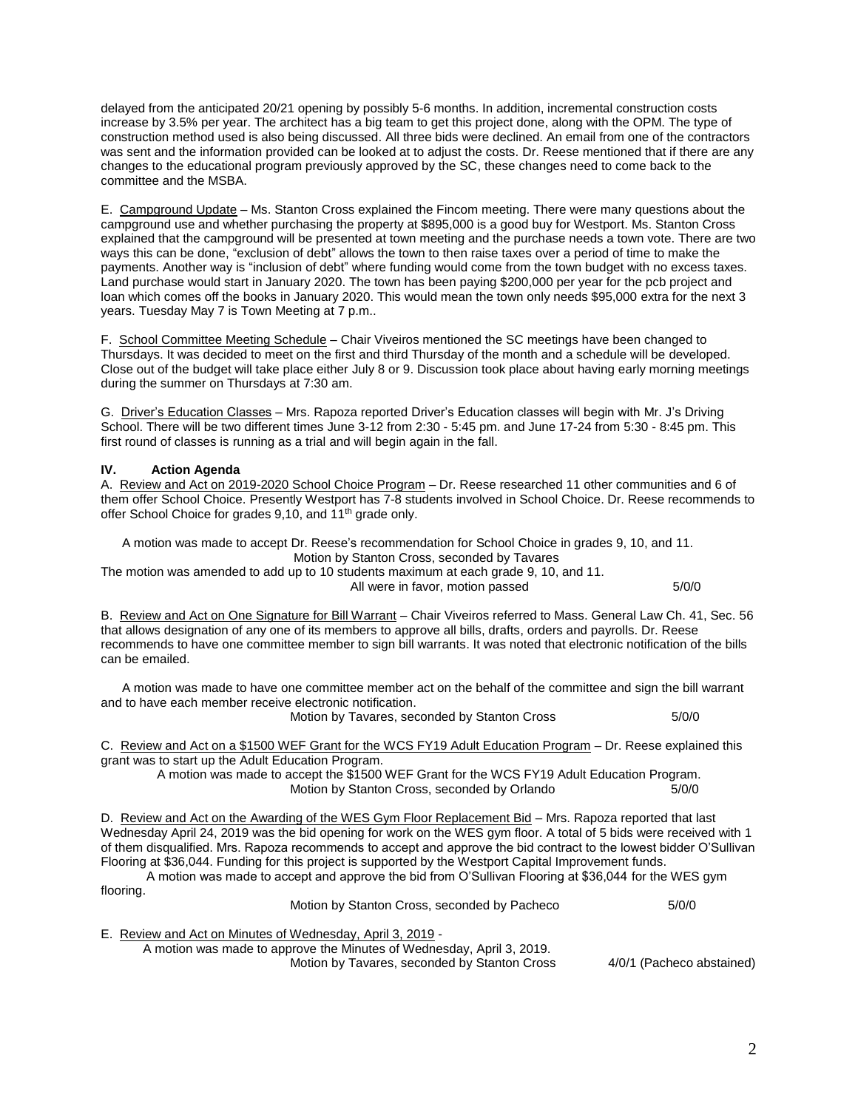delayed from the anticipated 20/21 opening by possibly 5-6 months. In addition, incremental construction costs increase by 3.5% per year. The architect has a big team to get this project done, along with the OPM. The type of construction method used is also being discussed. All three bids were declined. An email from one of the contractors was sent and the information provided can be looked at to adjust the costs. Dr. Reese mentioned that if there are any changes to the educational program previously approved by the SC, these changes need to come back to the committee and the MSBA.

E. Campground Update – Ms. Stanton Cross explained the Fincom meeting. There were many questions about the campground use and whether purchasing the property at \$895,000 is a good buy for Westport. Ms. Stanton Cross explained that the campground will be presented at town meeting and the purchase needs a town vote. There are two ways this can be done, "exclusion of debt" allows the town to then raise taxes over a period of time to make the payments. Another way is "inclusion of debt" where funding would come from the town budget with no excess taxes. Land purchase would start in January 2020. The town has been paying \$200,000 per year for the pcb project and loan which comes off the books in January 2020. This would mean the town only needs \$95,000 extra for the next 3 years. Tuesday May 7 is Town Meeting at 7 p.m..

F. School Committee Meeting Schedule – Chair Viveiros mentioned the SC meetings have been changed to Thursdays. It was decided to meet on the first and third Thursday of the month and a schedule will be developed. Close out of the budget will take place either July 8 or 9. Discussion took place about having early morning meetings during the summer on Thursdays at 7:30 am.

G. Driver's Education Classes – Mrs. Rapoza reported Driver's Education classes will begin with Mr. J's Driving School. There will be two different times June 3-12 from 2:30 - 5:45 pm. and June 17-24 from 5:30 - 8:45 pm. This first round of classes is running as a trial and will begin again in the fall.

## **IV. Action Agenda**

A. Review and Act on 2019-2020 School Choice Program – Dr. Reese researched 11 other communities and 6 of them offer School Choice. Presently Westport has 7-8 students involved in School Choice. Dr. Reese recommends to offer School Choice for grades 9,10, and 11<sup>th</sup> grade only.

 A motion was made to accept Dr. Reese's recommendation for School Choice in grades 9, 10, and 11. Motion by Stanton Cross, seconded by Tavares

The motion was amended to add up to 10 students maximum at each grade 9, 10, and 11. All were in favor, motion passed 5/0/0

B. Review and Act on One Signature for Bill Warrant – Chair Viveiros referred to Mass. General Law Ch. 41, Sec. 56 that allows designation of any one of its members to approve all bills, drafts, orders and payrolls. Dr. Reese recommends to have one committee member to sign bill warrants. It was noted that electronic notification of the bills can be emailed.

 A motion was made to have one committee member act on the behalf of the committee and sign the bill warrant and to have each member receive electronic notification.

Motion by Tavares, seconded by Stanton Cross 5/0/0

C. Review and Act on a \$1500 WEF Grant for the WCS FY19 Adult Education Program – Dr. Reese explained this grant was to start up the Adult Education Program.

 A motion was made to accept the \$1500 WEF Grant for the WCS FY19 Adult Education Program. Motion by Stanton Cross, seconded by Orlando 5/0/0

D. Review and Act on the Awarding of the WES Gym Floor Replacement Bid – Mrs. Rapoza reported that last Wednesday April 24, 2019 was the bid opening for work on the WES gym floor. A total of 5 bids were received with 1 of them disqualified. Mrs. Rapoza recommends to accept and approve the bid contract to the lowest bidder O'Sullivan Flooring at \$36,044. Funding for this project is supported by the Westport Capital Improvement funds. A motion was made to accept and approve the bid from O'Sullivan Flooring at \$36,044 for the WES gym

flooring.

Motion by Stanton Cross, seconded by Pacheco 5/0/0

E. Review and Act on Minutes of Wednesday, April 3, 2019 -

 A motion was made to approve the Minutes of Wednesday, April 3, 2019. Motion by Tavares, seconded by Stanton Cross 4/0/1 (Pacheco abstained)